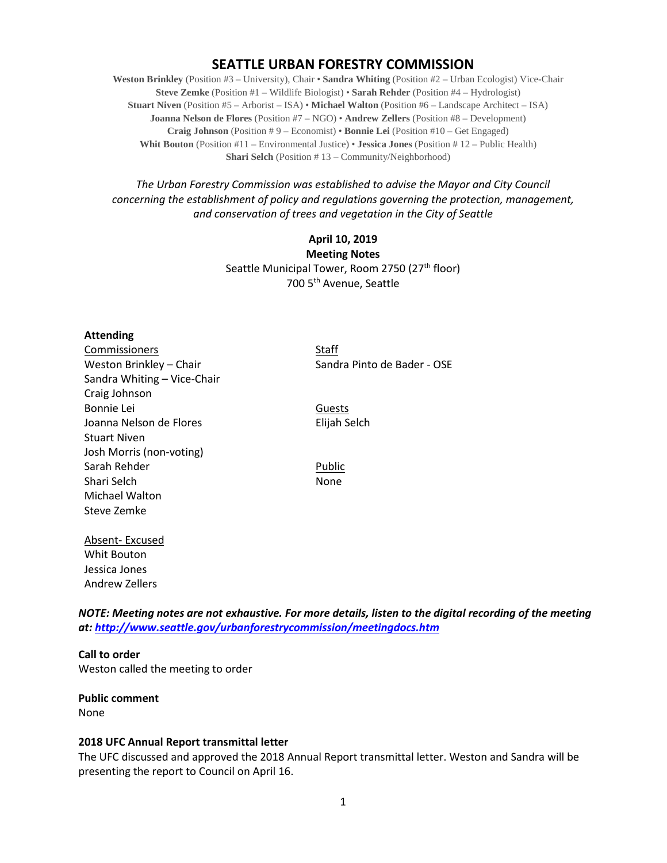### **SEATTLE URBAN FORESTRY COMMISSION**

**Weston Brinkley** (Position #3 – University), Chair • **Sandra Whiting** (Position #2 – Urban Ecologist) Vice-Chair **Steve Zemke** (Position #1 – Wildlife Biologist) • **Sarah Rehder** (Position #4 – Hydrologist) **Stuart Niven** (Position #5 – Arborist – ISA) • **Michael Walton** (Position #6 – Landscape Architect – ISA) **Joanna Nelson de Flores** (Position #7 – NGO) • **Andrew Zellers** (Position #8 – Development) **Craig Johnson** (Position # 9 – Economist) • **Bonnie Lei** (Position #10 – Get Engaged) **Whit Bouton** (Position #11 – Environmental Justice) • **Jessica Jones** (Position # 12 – Public Health) **Shari Selch** (Position #13 – Community/Neighborhood)

*The Urban Forestry Commission was established to advise the Mayor and City Council concerning the establishment of policy and regulations governing the protection, management, and conservation of trees and vegetation in the City of Seattle*

> **April 10, 2019 Meeting Notes** Seattle Municipal Tower, Room 2750 (27<sup>th</sup> floor) 700 5th Avenue, Seattle

#### **Attending**

Commissioners Staff Sandra Whiting – Vice-Chair Craig Johnson Bonnie Lei Guests Joanna Nelson de Flores **Elijah Selch** Stuart Niven Josh Morris (non-voting) Sarah Rehder Public Shari Selch None Michael Walton Steve Zemke

Absent- Excused Whit Bouton Jessica Jones Andrew Zellers

Weston Brinkley – Chair Sandra Pinto de Bader - OSE

*NOTE: Meeting notes are not exhaustive. For more details, listen to the digital recording of the meeting at:<http://www.seattle.gov/urbanforestrycommission/meetingdocs.htm>*

**Call to order**  Weston called the meeting to order

**Public comment** None

#### **2018 UFC Annual Report transmittal letter**

The UFC discussed and approved the 2018 Annual Report transmittal letter. Weston and Sandra will be presenting the report to Council on April 16.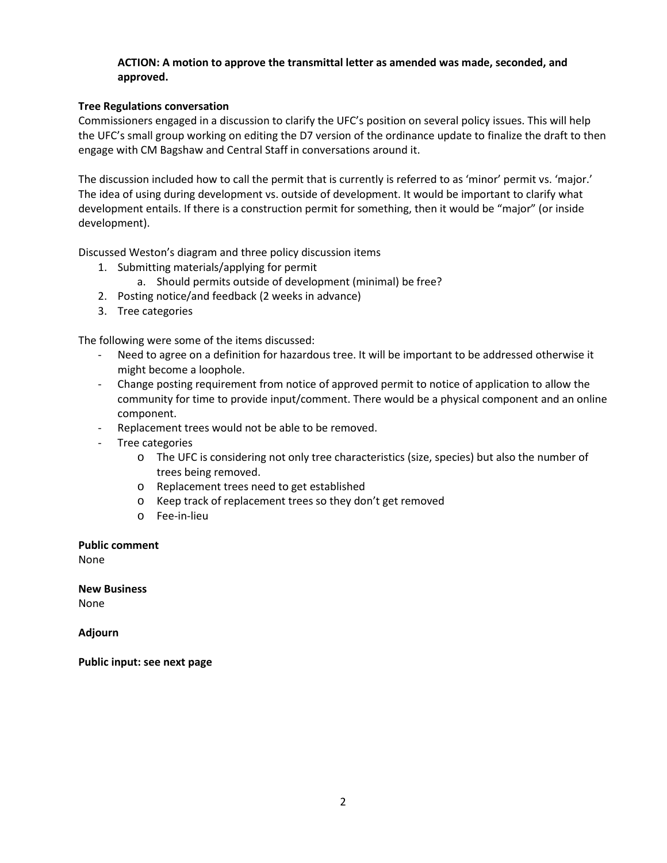#### **ACTION: A motion to approve the transmittal letter as amended was made, seconded, and approved.**

#### **Tree Regulations conversation**

Commissioners engaged in a discussion to clarify the UFC's position on several policy issues. This will help the UFC's small group working on editing the D7 version of the ordinance update to finalize the draft to then engage with CM Bagshaw and Central Staff in conversations around it.

The discussion included how to call the permit that is currently is referred to as 'minor' permit vs. 'major.' The idea of using during development vs. outside of development. It would be important to clarify what development entails. If there is a construction permit for something, then it would be "major" (or inside development).

Discussed Weston's diagram and three policy discussion items

- 1. Submitting materials/applying for permit
	- a. Should permits outside of development (minimal) be free?
- 2. Posting notice/and feedback (2 weeks in advance)
- 3. Tree categories

The following were some of the items discussed:

- Need to agree on a definition for hazardous tree. It will be important to be addressed otherwise it might become a loophole.
- Change posting requirement from notice of approved permit to notice of application to allow the community for time to provide input/comment. There would be a physical component and an online component.
- Replacement trees would not be able to be removed.
- Tree categories
	- o The UFC is considering not only tree characteristics (size, species) but also the number of trees being removed.
	- o Replacement trees need to get established
	- o Keep track of replacement trees so they don't get removed
	- o Fee-in-lieu

#### **Public comment**

None

**New Business**

None

**Adjourn**

**Public input: see next page**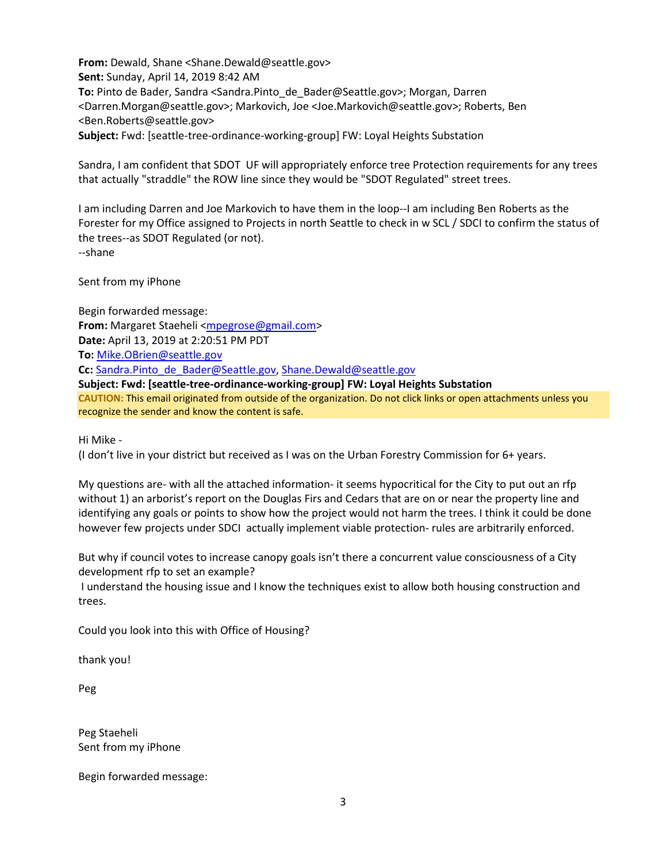**From:** Dewald, Shane <Shane.Dewald@seattle.gov> **Sent:** Sunday, April 14, 2019 8:42 AM To: Pinto de Bader, Sandra <Sandra.Pinto de Bader@Seattle.gov>; Morgan, Darren <Darren.Morgan@seattle.gov>; Markovich, Joe <Joe.Markovich@seattle.gov>; Roberts, Ben <Ben.Roberts@seattle.gov> **Subject:** Fwd: [seattle-tree-ordinance-working-group] FW: Loyal Heights Substation

Sandra, I am confident that SDOT UF will appropriately enforce tree Protection requirements for any trees that actually "straddle" the ROW line since they would be "SDOT Regulated" street trees.

I am including Darren and Joe Markovich to have them in the loop--I am including Ben Roberts as the Forester for my Office assigned to Projects in north Seattle to check in w SCL / SDCI to confirm the status of the trees--as SDOT Regulated (or not). --shane

Sent from my iPhone

Begin forwarded message: From: Margaret Staeheli [<mpegrose@gmail.com>](mailto:mpegrose@gmail.com) **Date:** April 13, 2019 at 2:20:51 PM PDT **To:** [Mike.OBrien@seattle.gov](mailto:Mike.OBrien@seattle.gov) **Cc:** [Sandra.Pinto\\_de\\_Bader@Seattle.gov,](mailto:Sandra.Pinto_de_Bader@Seattle.gov) [Shane.Dewald@seattle.gov](mailto:Shane.Dewald@seattle.gov) **Subject: Fwd: [seattle-tree-ordinance-working-group] FW: Loyal Heights Substation CAUTION:** This email originated from outside of the organization. Do not click links or open attachments unless you recognize the sender and know the content is safe.

Hi Mike -

(I don't live in your district but received as I was on the Urban Forestry Commission for 6+ years.

My questions are- with all the attached information- it seems hypocritical for the City to put out an rfp without 1) an arborist's report on the Douglas Firs and Cedars that are on or near the property line and identifying any goals or points to show how the project would not harm the trees. I think it could be done however few projects under SDCI actually implement viable protection- rules are arbitrarily enforced.

But why if council votes to increase canopy goals isn't there a concurrent value consciousness of a City development rfp to set an example?

I understand the housing issue and I know the techniques exist to allow both housing construction and trees.

Could you look into this with Office of Housing?

thank you!

Peg

Peg Staeheli Sent from my iPhone

Begin forwarded message: